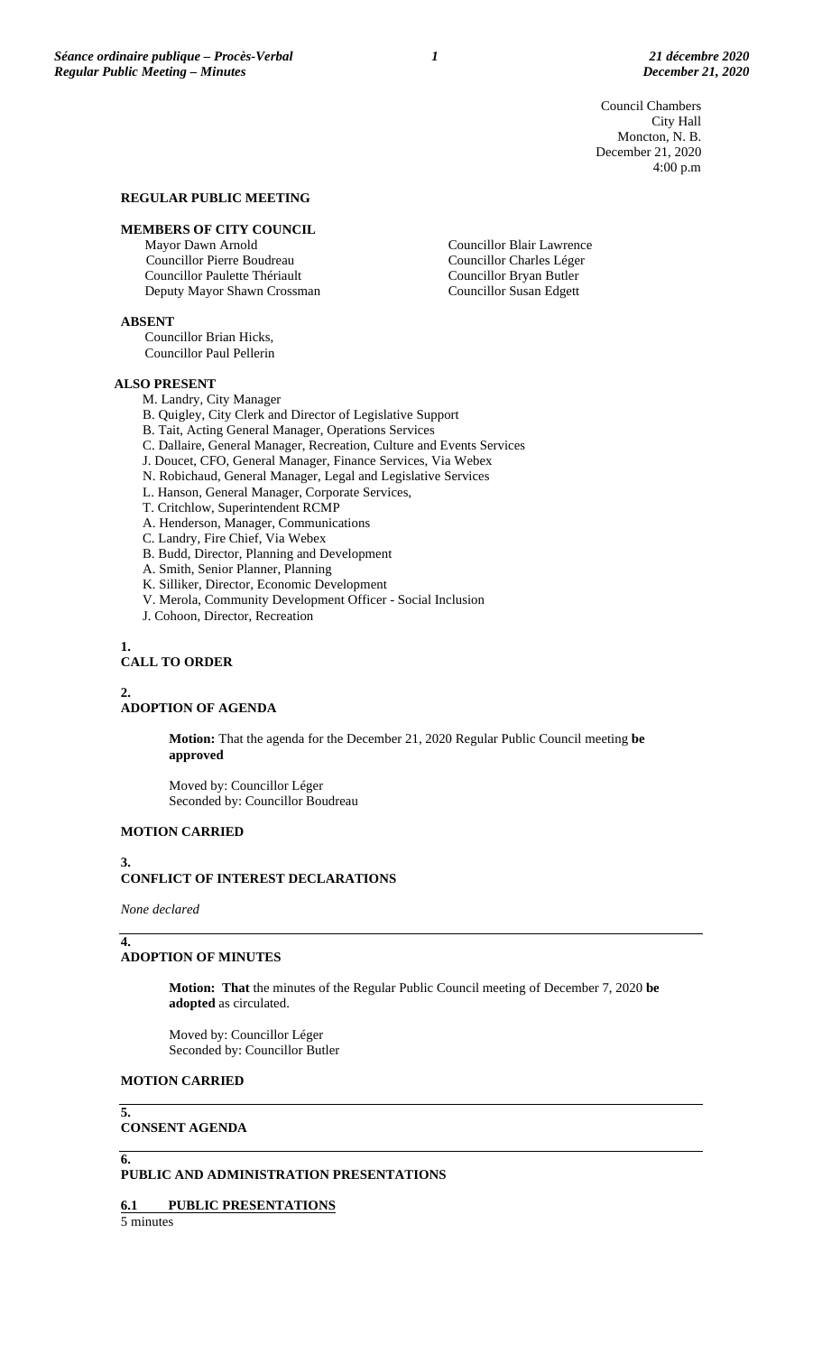Council Chambers City Hall Moncton, N. B. December 21, 2020 4:00 p.m

#### **REGULAR PUBLIC MEETING**

#### **MEMBERS OF CITY COUNCIL**

Mayor Dawn Arnold Councillor Pierre Boudreau Councillor Paulette Thériault Deputy Mayor Shawn Crossman

**ABSENT**

Councillor Brian Hicks, Councillor Paul Pellerin

#### **ALSO PRESENT**

M. Landry, City Manager

B. Quigley, City Clerk and Director of Legislative Support

B. Tait, Acting General Manager, Operations Services

C. Dallaire, General Manager, Recreation, Culture and Events Services

- J. Doucet, CFO, General Manager, Finance Services, Via Webex
- N. Robichaud, General Manager, Legal and Legislative Services
- L. Hanson, General Manager, Corporate Services,
- T. Critchlow, Superintendent RCMP A. Henderson, Manager, Communications
- C. Landry, Fire Chief, Via Webex
- 
- B. Budd, Director, Planning and Development A. Smith, Senior Planner, Planning
- 
- K. Silliker, Director, Economic Development V. Merola, Community Development Officer - Social Inclusion
- 
- J. Cohoon, Director, Recreation

#### **1.**

# **CALL TO ORDER**

#### **2.**

# **ADOPTION OF AGENDA**

**Motion:** That the agenda for the December 21, 2020 Regular Public Council meeting **be approved**

Moved by: Councillor Léger Seconded by: Councillor Boudreau

## **MOTION CARRIED**

#### **3. CONFLICT OF INTEREST DECLARATIONS**

*None declared*

**4.**

## **ADOPTION OF MINUTES**

**Motion: That** the minutes of the Regular Public Council meeting of December 7, 2020 **be adopted** as circulated.

Moved by: Councillor Léger Seconded by: Councillor Butler

# **MOTION CARRIED**

**CONSENT AGENDA**

#### **6.**

**5.**

# **PUBLIC AND ADMINISTRATION PRESENTATIONS**

#### **6.1 PUBLIC PRESENTATIONS**

5 minutes

### Councillor Blair Lawrence Councillor Charles Léger Councillor Bryan Butler Councillor Susan Edgett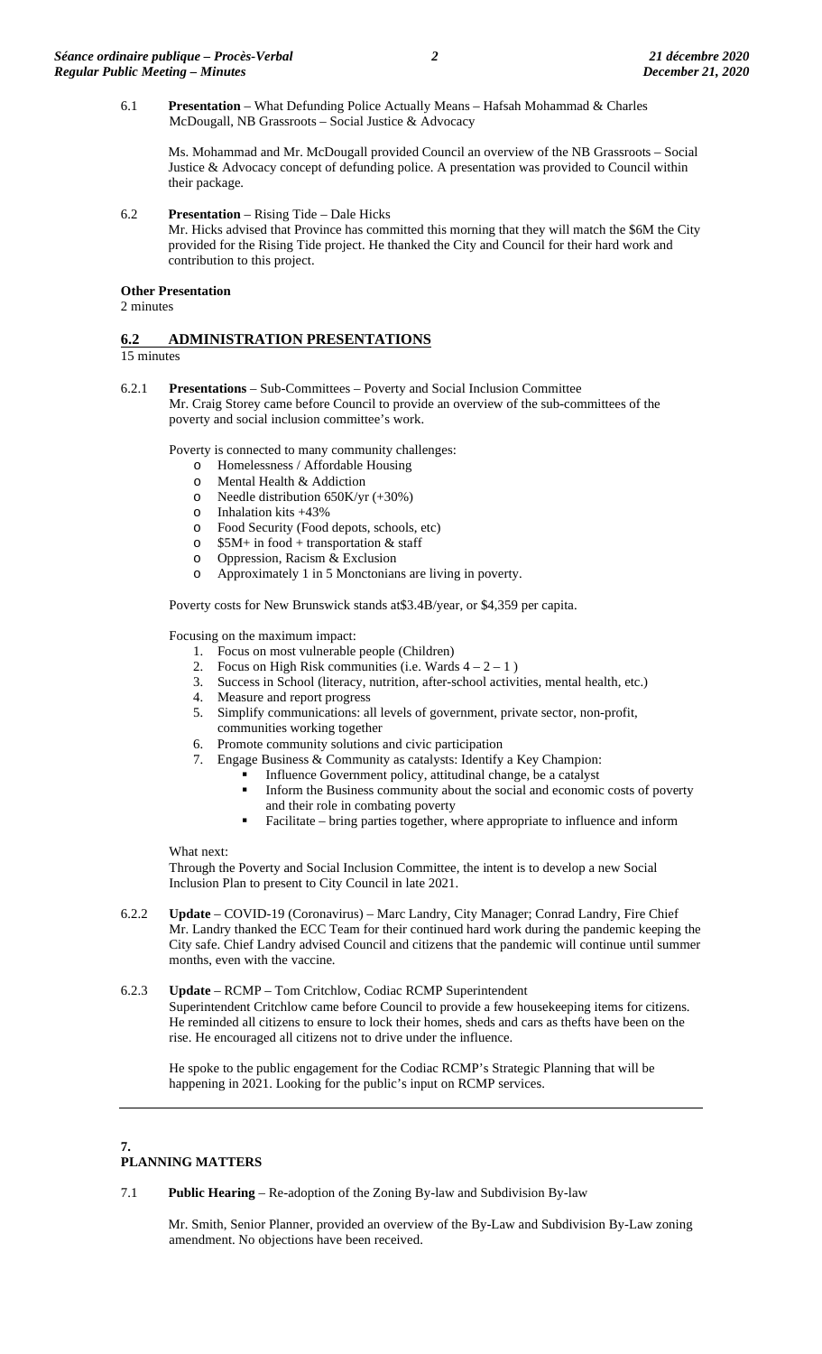6.1 **Presentation** – What Defunding Police Actually Means – Hafsah Mohammad & Charles McDougall, NB Grassroots – Social Justice & Advocacy

Ms. Mohammad and Mr. McDougall provided Council an overview of the NB Grassroots – Social Justice & Advocacy concept of defunding police. A presentation was provided to Council within their package.

6.2 **Presentation** – Rising Tide – Dale Hicks Mr. Hicks advised that Province has committed this morning that they will match the \$6M the City provided for the Rising Tide project. He thanked the City and Council for their hard work and contribution to this project.

# **Other Presentation**

2 minutes

# **6.2 ADMINISTRATION PRESENTATIONS**

15 minutes

6.2.1 **Presentations** – Sub-Committees – Poverty and Social Inclusion Committee Mr. Craig Storey came before Council to provide an overview of the sub-committees of the poverty and social inclusion committee's work.

Poverty is connected to many community challenges:

- o Homelessness / Affordable Housing<br>
o Mental Health & Addiction
- o Mental Health & Addiction<br>  $\Omega$  Needle distribution 650K/vr
- o Needle distribution 650K/yr  $(+30\%)$ <br>o Inhalation kits  $+43\%$
- $\circ$  Inhalation kits +43%<br> $\circ$  Food Security (Food
- o Food Security (Food depots, schools, etc)<br>  $\circ$  \$5M+ in food + transportation & staff
- o  $$5M+$  in food + transportation & staff<br>o Oppression, Racism & Exclusion
- Oppression, Racism & Exclusion
- o Approximately 1 in 5 Monctonians are living in poverty.

Poverty costs for New Brunswick stands at\$3.4B/year, or \$4,359 per capita.

Focusing on the maximum impact:

- 1. Focus on most vulnerable people (Children)
- 2. Focus on High Risk communities (i.e. Wards  $4 2 1$ )
- 3. Success in School (literacy, nutrition, after-school activities, mental health, etc.)
- 4. Measure and report progress
- 5. Simplify communications: all levels of government, private sector, non-profit, communities working together
- 6. Promote community solutions and civic participation
- 7. Engage Business & Community as catalysts: Identify a Key Champion:
	- Influence Government policy, attitudinal change, be a catalyst
	- Inform the Business community about the social and economic costs of poverty and their role in combating poverty
	- Facilitate bring parties together, where appropriate to influence and inform

### What next:

Through the Poverty and Social Inclusion Committee, the intent is to develop a new Social Inclusion Plan to present to City Council in late 2021.

6.2.2 **Update** – COVID-19 (Coronavirus) – Marc Landry, City Manager; Conrad Landry, Fire Chief Mr. Landry thanked the ECC Team for their continued hard work during the pandemic keeping the City safe. Chief Landry advised Council and citizens that the pandemic will continue until summer months, even with the vaccine.

### 6.2.3 **Update** – RCMP – Tom Critchlow, Codiac RCMP Superintendent Superintendent Critchlow came before Council to provide a few housekeeping items for citizens. He reminded all citizens to ensure to lock their homes, sheds and cars as thefts have been on the rise. He encouraged all citizens not to drive under the influence.

He spoke to the public engagement for the Codiac RCMP's Strategic Planning that will be happening in 2021. Looking for the public's input on RCMP services.

#### **7. PLANNING MATTERS**

7.1 **Public Hearing** – Re-adoption of the Zoning By-law and Subdivision By-law

Mr. Smith, Senior Planner, provided an overview of the By-Law and Subdivision By-Law zoning amendment. No objections have been received.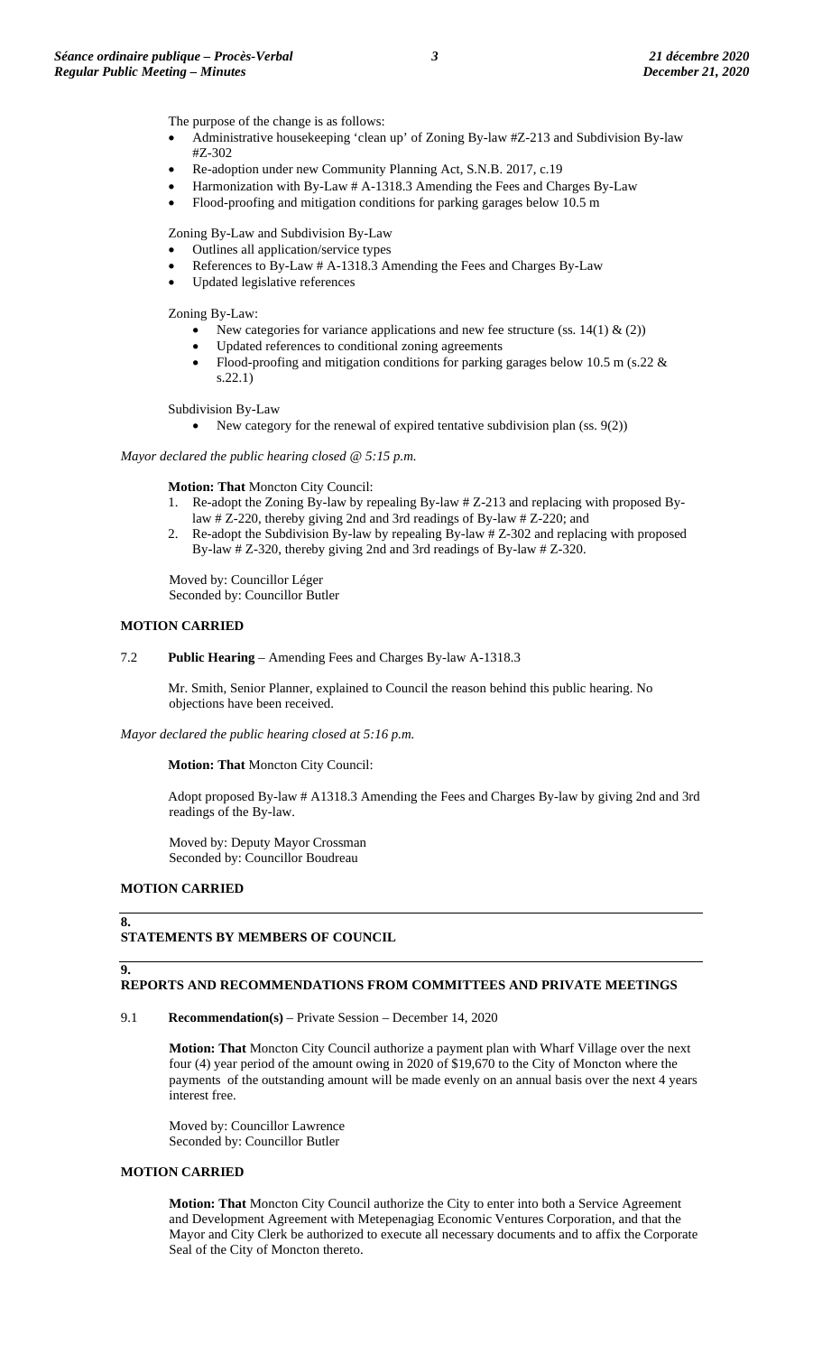The purpose of the change is as follows:

- Administrative housekeeping 'clean up' of Zoning By-law #Z-213 and Subdivision By-law #Z-302
- Re-adoption under new Community Planning Act, S.N.B. 2017, c.19
- Harmonization with By-Law # A-1318.3 Amending the Fees and Charges By-Law
- Flood-proofing and mitigation conditions for parking garages below 10.5 m

Zoning By-Law and Subdivision By-Law

- Outlines all application/service types
- References to By-Law # A-1318.3 Amending the Fees and Charges By-Law
- Updated legislative references

Zoning By-Law:

- New categories for variance applications and new fee structure (ss.  $14(1) \& (2)$ )
- Updated references to conditional zoning agreements
- Flood-proofing and mitigation conditions for parking garages below 10.5 m (s.22  $\&$ s.22.1)

Subdivision By-Law

• New category for the renewal of expired tentative subdivision plan (ss. 9(2))

*Mayor declared the public hearing closed @ 5:15 p.m.*

**Motion: That** Moncton City Council:

- 1. Re-adopt the Zoning By-law by repealing By-law # Z-213 and replacing with proposed Bylaw # Z-220, thereby giving 2nd and 3rd readings of By-law # Z-220; and
- 2. Re-adopt the Subdivision By-law by repealing By-law # Z-302 and replacing with proposed By-law # Z-320, thereby giving 2nd and 3rd readings of By-law # Z-320.

Moved by: Councillor Léger Seconded by: Councillor Butler

## **MOTION CARRIED**

7.2 **Public Hearing** – Amending Fees and Charges By-law A-1318.3

Mr. Smith, Senior Planner, explained to Council the reason behind this public hearing. No objections have been received.

*Mayor declared the public hearing closed at 5:16 p.m.*

#### **Motion: That** Moncton City Council:

Adopt proposed By-law # A1318.3 Amending the Fees and Charges By-law by giving 2nd and 3rd readings of the By-law.

Moved by: Deputy Mayor Crossman Seconded by: Councillor Boudreau

### **MOTION CARRIED**

#### **8.**

#### **STATEMENTS BY MEMBERS OF COUNCIL**

# **9.**

# **REPORTS AND RECOMMENDATIONS FROM COMMITTEES AND PRIVATE MEETINGS**

9.1 **Recommendation(s)** – Private Session – December 14, 2020

**Motion: That** Moncton City Council authorize a payment plan with Wharf Village over the next four (4) year period of the amount owing in 2020 of \$19,670 to the City of Moncton where the payments of the outstanding amount will be made evenly on an annual basis over the next 4 years interest free.

Moved by: Councillor Lawrence Seconded by: Councillor Butler

## **MOTION CARRIED**

**Motion: That** Moncton City Council authorize the City to enter into both a Service Agreement and Development Agreement with Metepenagiag Economic Ventures Corporation, and that the Mayor and City Clerk be authorized to execute all necessary documents and to affix the Corporate Seal of the City of Moncton thereto.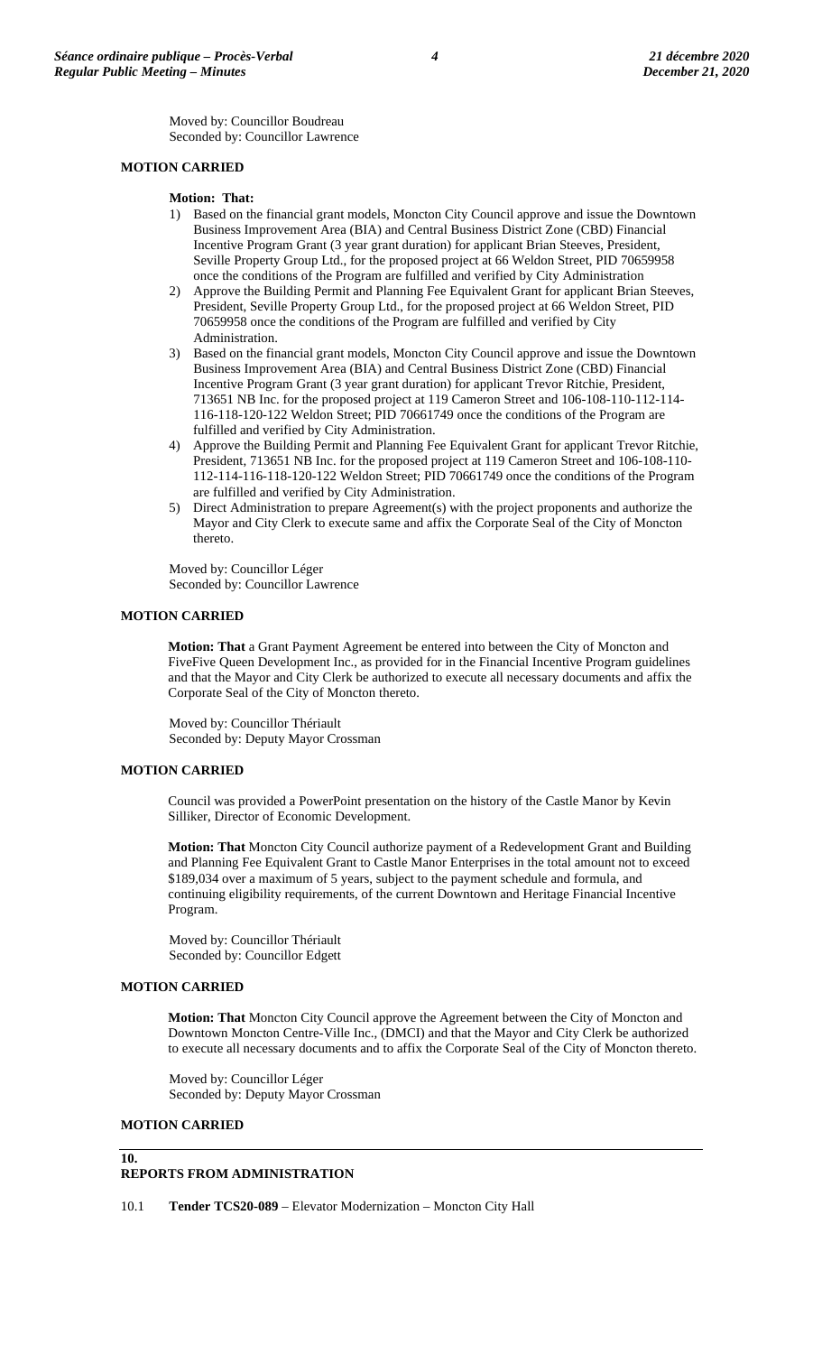Moved by: Councillor Boudreau Seconded by: Councillor Lawrence

# **MOTION CARRIED**

### **Motion: That:**

- 1) Based on the financial grant models, Moncton City Council approve and issue the Downtown Business Improvement Area (BIA) and Central Business District Zone (CBD) Financial Incentive Program Grant (3 year grant duration) for applicant Brian Steeves, President, Seville Property Group Ltd., for the proposed project at 66 Weldon Street, PID 70659958 once the conditions of the Program are fulfilled and verified by City Administration
- 2) Approve the Building Permit and Planning Fee Equivalent Grant for applicant Brian Steeves, President, Seville Property Group Ltd., for the proposed project at 66 Weldon Street, PID 70659958 once the conditions of the Program are fulfilled and verified by City Administration.
- 3) Based on the financial grant models, Moncton City Council approve and issue the Downtown Business Improvement Area (BIA) and Central Business District Zone (CBD) Financial Incentive Program Grant (3 year grant duration) for applicant Trevor Ritchie, President, 713651 NB Inc. for the proposed project at 119 Cameron Street and 106-108-110-112-114- 116-118-120-122 Weldon Street; PID 70661749 once the conditions of the Program are fulfilled and verified by City Administration.
- 4) Approve the Building Permit and Planning Fee Equivalent Grant for applicant Trevor Ritchie, President, 713651 NB Inc. for the proposed project at 119 Cameron Street and 106-108-110- 112-114-116-118-120-122 Weldon Street; PID 70661749 once the conditions of the Program are fulfilled and verified by City Administration.
- 5) Direct Administration to prepare Agreement(s) with the project proponents and authorize the Mayor and City Clerk to execute same and affix the Corporate Seal of the City of Moncton thereto.

Moved by: Councillor Léger Seconded by: Councillor Lawrence

## **MOTION CARRIED**

**Motion: That** a Grant Payment Agreement be entered into between the City of Moncton and FiveFive Queen Development Inc., as provided for in the Financial Incentive Program guidelines and that the Mayor and City Clerk be authorized to execute all necessary documents and affix the Corporate Seal of the City of Moncton thereto.

Moved by: Councillor Thériault Seconded by: Deputy Mayor Crossman

### **MOTION CARRIED**

Council was provided a PowerPoint presentation on the history of the Castle Manor by Kevin Silliker, Director of Economic Development.

**Motion: That** Moncton City Council authorize payment of a Redevelopment Grant and Building and Planning Fee Equivalent Grant to Castle Manor Enterprises in the total amount not to exceed \$189,034 over a maximum of 5 years, subject to the payment schedule and formula, and continuing eligibility requirements, of the current Downtown and Heritage Financial Incentive Program.

Moved by: Councillor Thériault Seconded by: Councillor Edgett

### **MOTION CARRIED**

**Motion: That** Moncton City Council approve the Agreement between the City of Moncton and Downtown Moncton Centre-Ville Inc., (DMCI) and that the Mayor and City Clerk be authorized to execute all necessary documents and to affix the Corporate Seal of the City of Moncton thereto.

Moved by: Councillor Léger Seconded by: Deputy Mayor Crossman

# **MOTION CARRIED**

**10.**

# **REPORTS FROM ADMINISTRATION**

10.1 **Tender TCS20-089** – Elevator Modernization – Moncton City Hall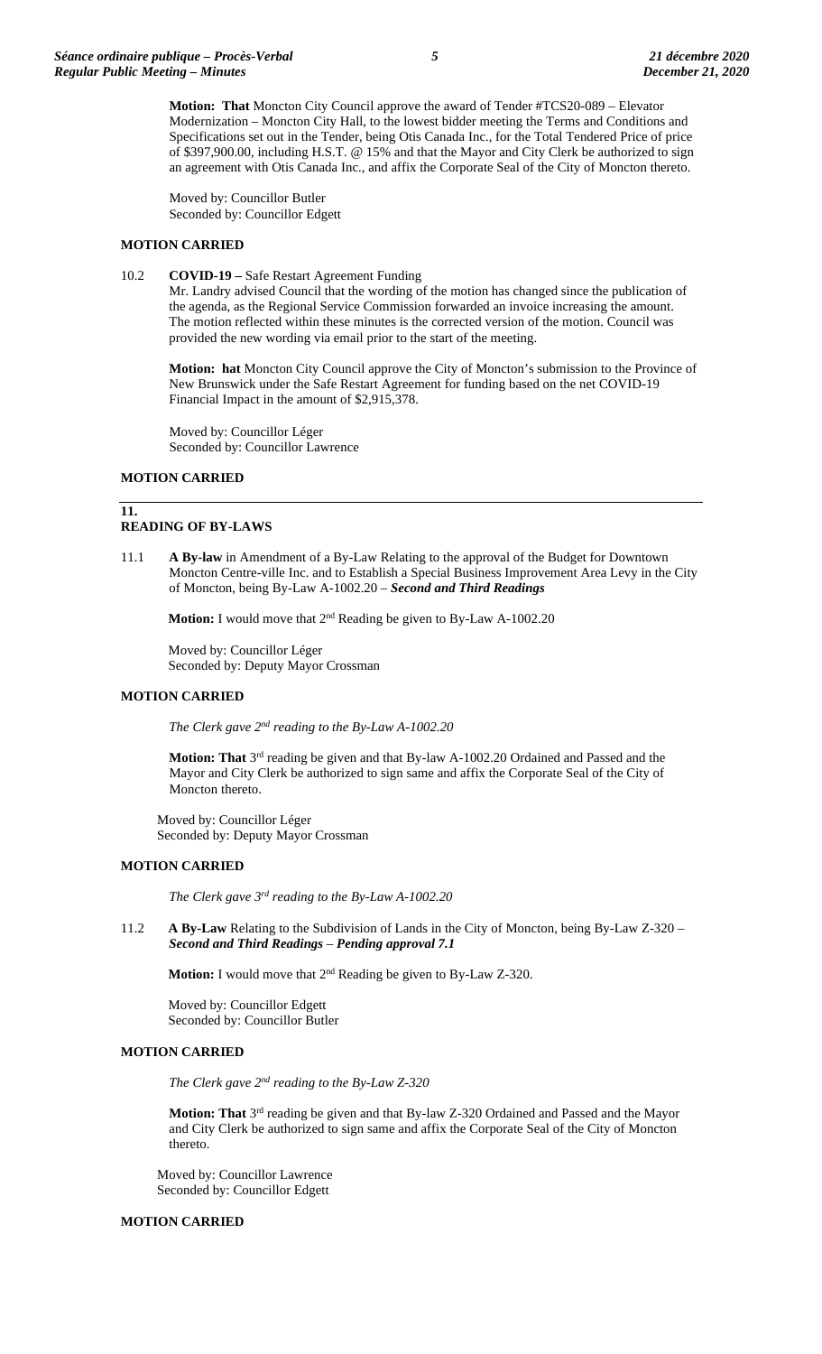**Motion: That** Moncton City Council approve the award of Tender #TCS20-089 – Elevator Modernization – Moncton City Hall, to the lowest bidder meeting the Terms and Conditions and Specifications set out in the Tender, being Otis Canada Inc., for the Total Tendered Price of price of \$397,900.00, including H.S.T. @ 15% and that the Mayor and City Clerk be authorized to sign an agreement with Otis Canada Inc., and affix the Corporate Seal of the City of Moncton thereto.

Moved by: Councillor Butler Seconded by: Councillor Edgett

# **MOTION CARRIED**

### 10.2 **COVID-19 –** Safe Restart Agreement Funding

Mr. Landry advised Council that the wording of the motion has changed since the publication of the agenda, as the Regional Service Commission forwarded an invoice increasing the amount. The motion reflected within these minutes is the corrected version of the motion. Council was provided the new wording via email prior to the start of the meeting.

**Motion: hat** Moncton City Council approve the City of Moncton's submission to the Province of New Brunswick under the Safe Restart Agreement for funding based on the net COVID-19 Financial Impact in the amount of \$2,915,378.

Moved by: Councillor Léger Seconded by: Councillor Lawrence

## **MOTION CARRIED**

# **11.**

#### **READING OF BY-LAWS**

11.1 **A By-law** in Amendment of a By-Law Relating to the approval of the Budget for Downtown Moncton Centre-ville Inc. and to Establish a Special Business Improvement Area Levy in the City of Moncton, being By-Law A-1002.20 – *Second and Third Readings* 

**Motion:** I would move that 2<sup>nd</sup> Reading be given to By-Law A-1002.20

Moved by: Councillor Léger Seconded by: Deputy Mayor Crossman

# **MOTION CARRIED**

*The Clerk gave 2nd reading to the By-Law A-1002.20*

**Motion: That** 3rd reading be given and that By-law A-1002.20 Ordained and Passed and the Mayor and City Clerk be authorized to sign same and affix the Corporate Seal of the City of Moncton thereto.

Moved by: Councillor Léger Seconded by: Deputy Mayor Crossman

## **MOTION CARRIED**

*The Clerk gave 3rd reading to the By-Law A-1002.20*

11.2 **A By-Law** Relating to the Subdivision of Lands in the City of Moncton, being By-Law Z-320 – *Second and Third Readings* – *Pending approval 7.1*

**Motion:** I would move that 2nd Reading be given to By-Law Z-320.

Moved by: Councillor Edgett Seconded by: Councillor Butler

## **MOTION CARRIED**

*The Clerk gave 2nd reading to the By-Law Z-320*

**Motion: That** 3rd reading be given and that By-law Z-320 Ordained and Passed and the Mayor and City Clerk be authorized to sign same and affix the Corporate Seal of the City of Moncton thereto.

Moved by: Councillor Lawrence Seconded by: Councillor Edgett

## **MOTION CARRIED**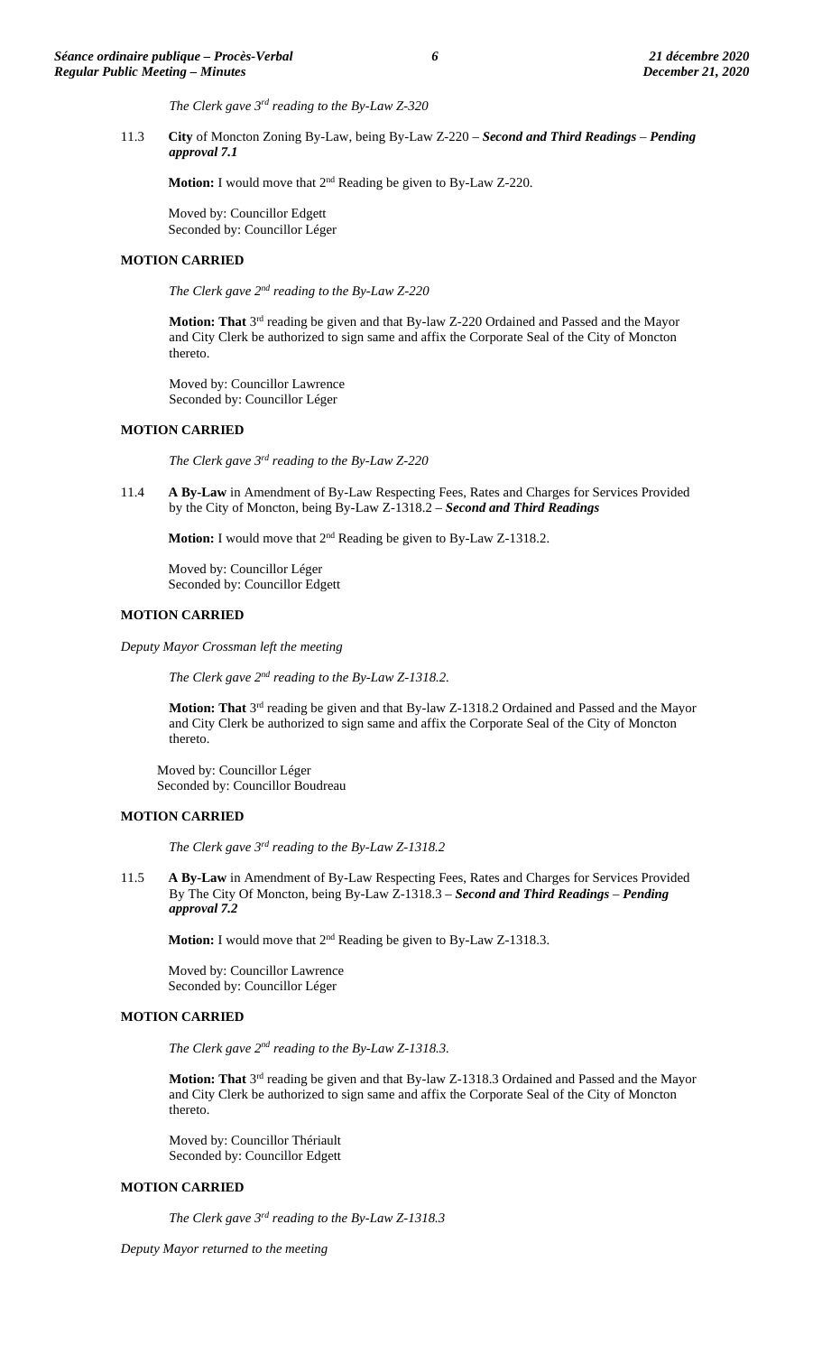*The Clerk gave 3rd reading to the By-Law Z-320*

11.3 **City** of Moncton Zoning By-Law, being By-Law Z-220 – *Second and Third Readings* – *Pending approval 7.1*

**Motion:** I would move that 2nd Reading be given to By-Law Z-220.

Moved by: Councillor Edgett Seconded by: Councillor Léger

#### **MOTION CARRIED**

*The Clerk gave 2nd reading to the By-Law Z-220*

**Motion: That** 3rd reading be given and that By-law Z-220 Ordained and Passed and the Mayor and City Clerk be authorized to sign same and affix the Corporate Seal of the City of Moncton thereto.

Moved by: Councillor Lawrence Seconded by: Councillor Léger

## **MOTION CARRIED**

*The Clerk gave 3rd reading to the By-Law Z-220*

11.4 **A By-Law** in Amendment of By-Law Respecting Fees, Rates and Charges for Services Provided by the City of Moncton, being By-Law Z-1318.2 – *Second and Third Readings*

**Motion:** I would move that 2<sup>nd</sup> Reading be given to By-Law Z-1318.2.

Moved by: Councillor Léger Seconded by: Councillor Edgett

## **MOTION CARRIED**

*Deputy Mayor Crossman left the meeting*

*The Clerk gave 2nd reading to the By-Law Z-1318.2.*

Motion: That 3<sup>rd</sup> reading be given and that By-law Z-1318.2 Ordained and Passed and the Mayor and City Clerk be authorized to sign same and affix the Corporate Seal of the City of Moncton thereto.

Moved by: Councillor Léger Seconded by: Councillor Boudreau

### **MOTION CARRIED**

*The Clerk gave 3rd reading to the By-Law Z-1318.2*

11.5 **A By-Law** in Amendment of By-Law Respecting Fees, Rates and Charges for Services Provided By The City Of Moncton, being By-Law Z-1318.3 – *Second and Third Readings* – *Pending approval 7.2*

**Motion:** I would move that  $2^{nd}$  Reading be given to By-Law Z-1318.3.

Moved by: Councillor Lawrence Seconded by: Councillor Léger

# **MOTION CARRIED**

*The Clerk gave 2nd reading to the By-Law Z-1318.3.*

**Motion: That** 3<sup>rd</sup> reading be given and that By-law Z-1318.3 Ordained and Passed and the Mayor and City Clerk be authorized to sign same and affix the Corporate Seal of the City of Moncton thereto.

Moved by: Councillor Thériault Seconded by: Councillor Edgett

## **MOTION CARRIED**

*The Clerk gave 3rd reading to the By-Law Z-1318.3*

*Deputy Mayor returned to the meeting*